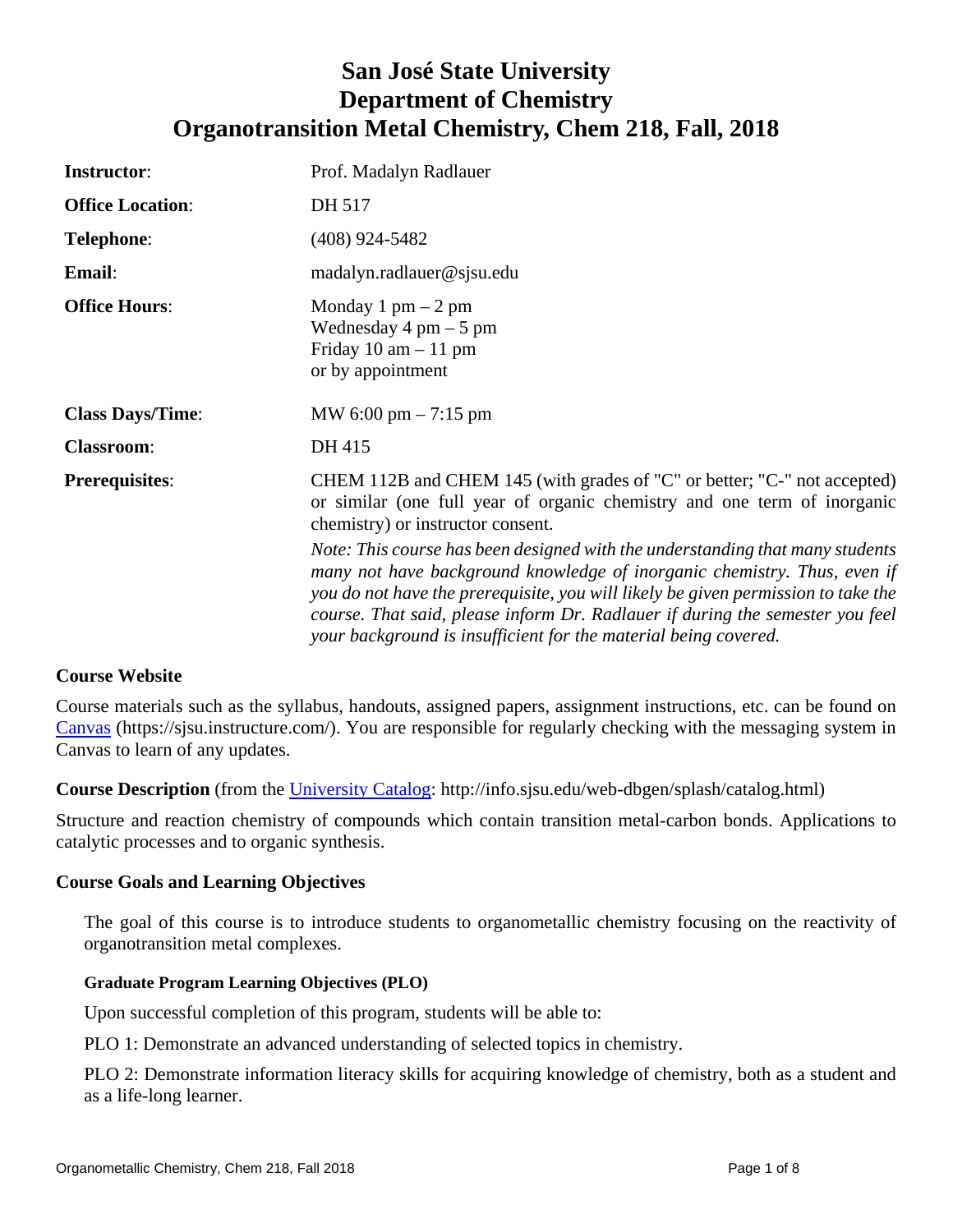# **San José State University Department of Chemistry Organotransition Metal Chemistry, Chem 218, Fall, 2018**

| <b>Instructor:</b>      | Prof. Madalyn Radlauer                                                                                                                                                                                                                                                                                                                                                                             |
|-------------------------|----------------------------------------------------------------------------------------------------------------------------------------------------------------------------------------------------------------------------------------------------------------------------------------------------------------------------------------------------------------------------------------------------|
| <b>Office Location:</b> | DH 517                                                                                                                                                                                                                                                                                                                                                                                             |
| <b>Telephone:</b>       | $(408)$ 924-5482                                                                                                                                                                                                                                                                                                                                                                                   |
| Email:                  | madalyn.radlauer@sjsu.edu                                                                                                                                                                                                                                                                                                                                                                          |
| <b>Office Hours:</b>    | Monday 1 pm $-2$ pm<br>Wednesday $4 \text{ pm} - 5 \text{ pm}$<br>Friday $10 \text{ am} - 11 \text{ pm}$<br>or by appointment                                                                                                                                                                                                                                                                      |
| <b>Class Days/Time:</b> | MW 6:00 pm $- 7:15$ pm                                                                                                                                                                                                                                                                                                                                                                             |
| <b>Classroom:</b>       | DH 415                                                                                                                                                                                                                                                                                                                                                                                             |
| <b>Prerequisites:</b>   | CHEM 112B and CHEM 145 (with grades of "C" or better; "C-" not accepted)<br>or similar (one full year of organic chemistry and one term of inorganic<br>chemistry) or instructor consent.                                                                                                                                                                                                          |
|                         | Note: This course has been designed with the understanding that many students<br>many not have background knowledge of inorganic chemistry. Thus, even if<br>you do not have the prerequisite, you will likely be given permission to take the<br>course. That said, please inform Dr. Radlauer if during the semester you feel<br>your background is insufficient for the material being covered. |

# **Course Website**

Course materials such as the syllabus, handouts, assigned papers, assignment instructions, etc. can be found on [Canvas](https://sjsu.instructure.com/) (https://sjsu.instructure.com/). You are responsible for regularly checking with the messaging system in Canvas to learn of any updates.

**Course Description** (from the University Catalog: http://info.sjsu.edu/web-dbgen/splash/catalog.html)

Structure and reaction chemistry of compounds which contain transition metal-carbon bonds. Applications to catalytic processes and to organic synthesis.

# **Course Goals and Learning Objectives**

The goal of this course is to introduce students to organometallic chemistry focusing on the reactivity of organotransition metal complexes.

# **Graduate Program Learning Objectives (PLO)**

Upon successful completion of this program, students will be able to:

PLO 1: Demonstrate an advanced understanding of selected topics in chemistry.

PLO 2: Demonstrate information literacy skills for acquiring knowledge of chemistry, both as a student and as a life-long learner.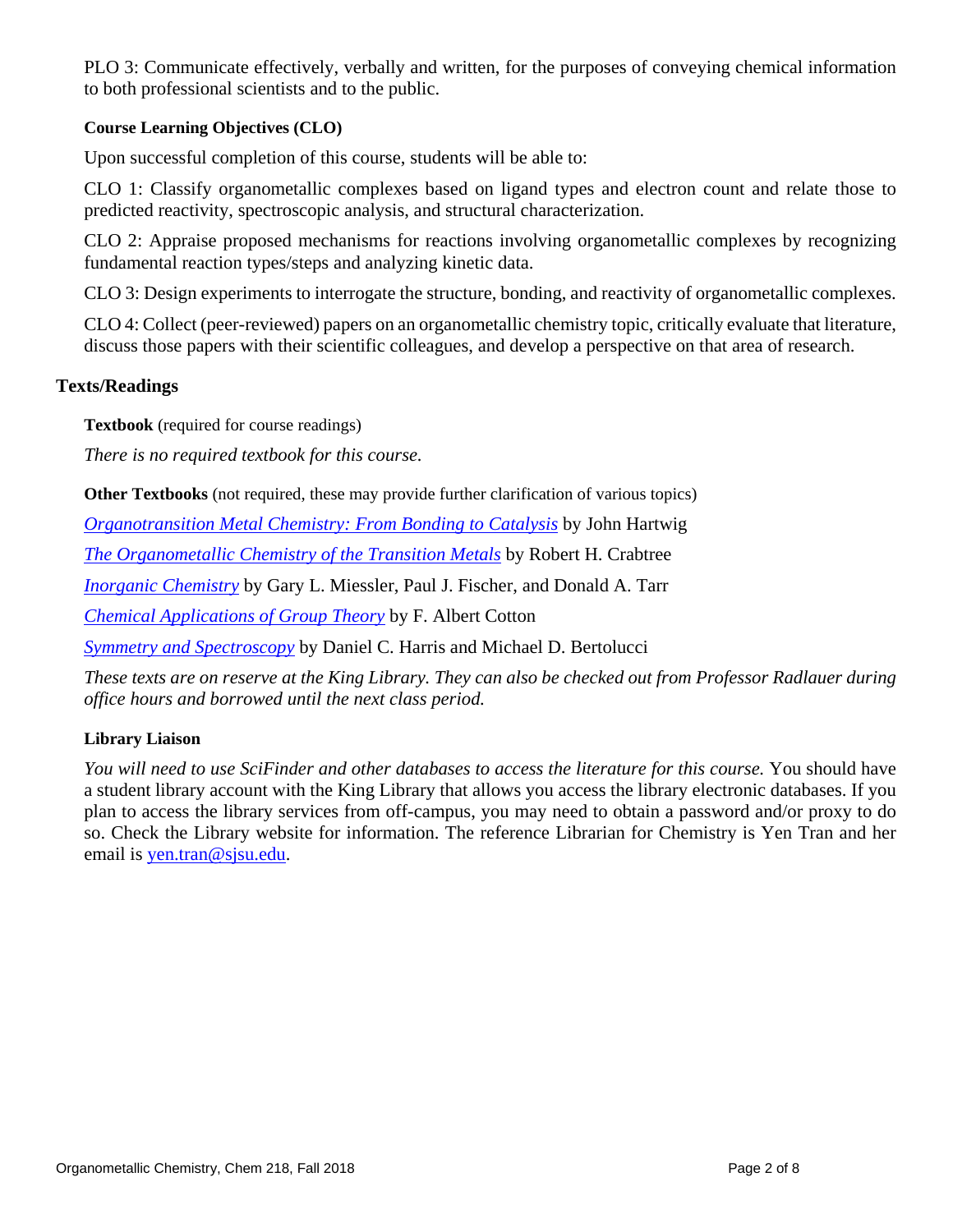PLO 3: Communicate effectively, verbally and written, for the purposes of conveying chemical information to both professional scientists and to the public.

# **Course Learning Objectives (CLO)**

Upon successful completion of this course, students will be able to:

CLO 1: Classify organometallic complexes based on ligand types and electron count and relate those to predicted reactivity, spectroscopic analysis, and structural characterization.

CLO 2: Appraise proposed mechanisms for reactions involving organometallic complexes by recognizing fundamental reaction types/steps and analyzing kinetic data.

CLO 3: Design experiments to interrogate the structure, bonding, and reactivity of organometallic complexes.

CLO 4: Collect (peer-reviewed) papers on an organometallic chemistry topic, critically evaluate that literature, discuss those papers with their scientific colleagues, and develop a perspective on that area of research.

# **Texts/Readings**

**Textbook** (required for course readings)

*There is no required textbook for this course.*

**Other Textbooks** (not required, these may provide further clarification of various topics)

*[Organotransition Metal Chemistry: From Bonding to Catalysis](https://www.amazon.com/Organotransition-Metal-Chemistry-Bonding-Catalysis/dp/189138953X)* by John Hartwig

*[The Organometallic Chemistry of the Transition Metals](https://onlinelibrary.wiley.com/doi/book/10.1002/9781118788301)* by Robert H. Crabtree

*[Inorganic Chemistry](https://www.pearsonhighered.com/miessler5einfo/)* by Gary L. Miessler, Paul J. Fischer, and Donald A. Tarr

*[Chemical Applications of Group Theory](http://www.wiley.com/WileyCDA/WileyTitle/productCd-0471510947.html)* by F. Albert Cotton

*[Symmetry and Spectroscopy](http://store.doverpublications.com/048666144x.html)* by Daniel C. Harris and Michael D. Bertolucci

*These texts are on reserve at the King Library. They can also be checked out from Professor Radlauer during office hours and borrowed until the next class period.*

## **Library Liaison**

*You will need to use SciFinder and other databases to access the literature for this course.* You should have a student library account with the King Library that allows you access the library electronic databases. If you plan to access the library services from off-campus, you may need to obtain a password and/or proxy to do so. Check the Library website for information. The reference Librarian for Chemistry is Yen Tran and her email is [yen.tran@sjsu.edu.](mailto:yen.tran@sjsu.edu)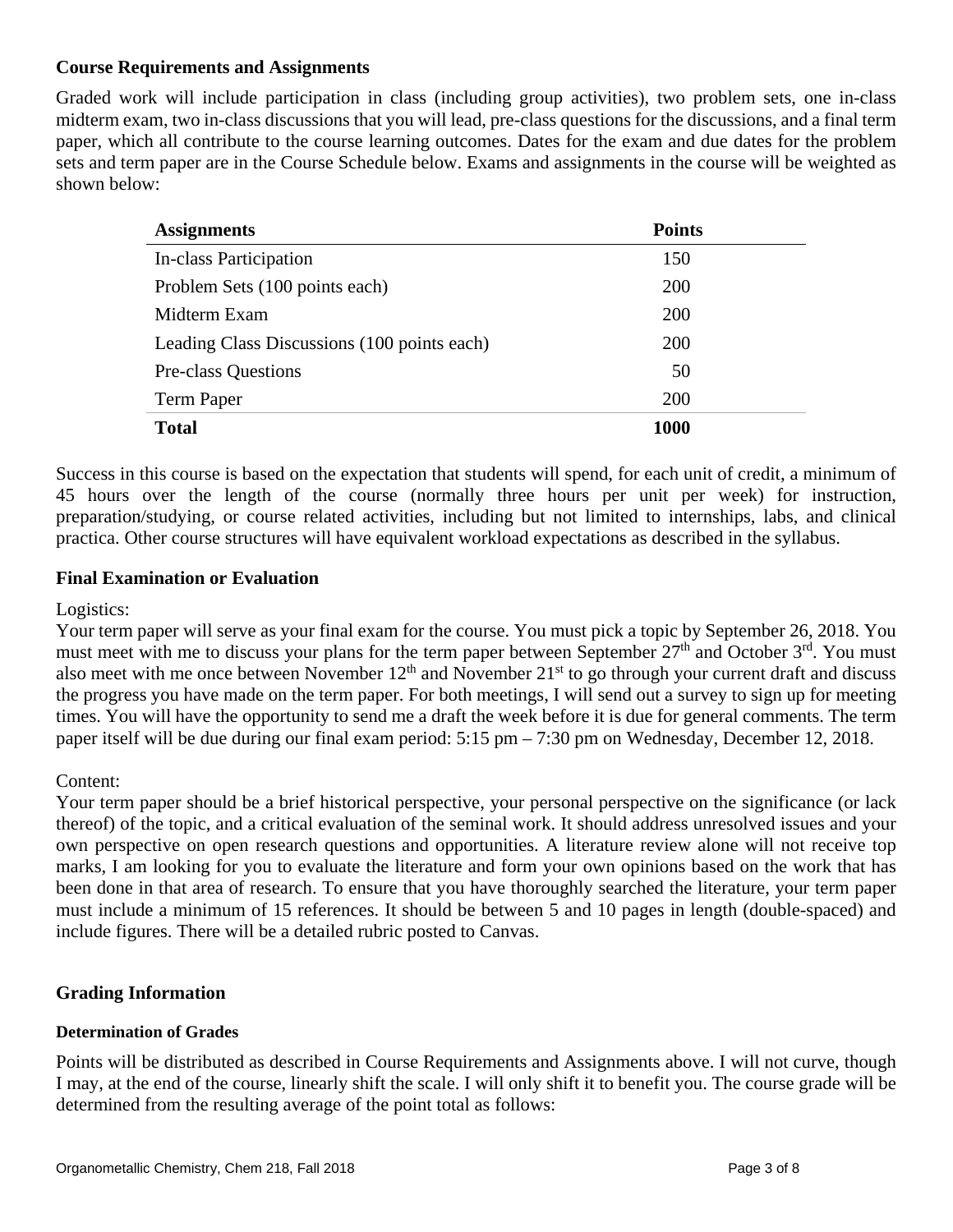# **Course Requirements and Assignments**

Graded work will include participation in class (including group activities), two problem sets, one in-class midterm exam, two in-class discussions that you will lead, pre-class questions for the discussions, and a final term paper, which all contribute to the course learning outcomes. Dates for the exam and due dates for the problem sets and term paper are in the Course Schedule below. Exams and assignments in the course will be weighted as shown below:

| <b>Assignments</b>                          | <b>Points</b> |  |
|---------------------------------------------|---------------|--|
| <b>In-class Participation</b>               | 150           |  |
| Problem Sets (100 points each)              | 200           |  |
| Midterm Exam                                | 200           |  |
| Leading Class Discussions (100 points each) | <b>200</b>    |  |
| <b>Pre-class Questions</b>                  | 50            |  |
| Term Paper                                  | 200           |  |
| <b>Total</b>                                | <b>1000</b>   |  |

Success in this course is based on the expectation that students will spend, for each unit of credit, a minimum of 45 hours over the length of the course (normally three hours per unit per week) for instruction, preparation/studying, or course related activities, including but not limited to internships, labs, and clinical practica. Other course structures will have equivalent workload expectations as described in the syllabus.

# **Final Examination or Evaluation**

# Logistics:

Your term paper will serve as your final exam for the course. You must pick a topic by September 26, 2018. You must meet with me to discuss your plans for the term paper between September 27<sup>th</sup> and October 3<sup>rd</sup>. You must also meet with me once between November  $12<sup>th</sup>$  and November  $21<sup>st</sup>$  to go through your current draft and discuss the progress you have made on the term paper. For both meetings, I will send out a survey to sign up for meeting times. You will have the opportunity to send me a draft the week before it is due for general comments. The term paper itself will be due during our final exam period: 5:15 pm – 7:30 pm on Wednesday, December 12, 2018.

# Content:

Your term paper should be a brief historical perspective, your personal perspective on the significance (or lack thereof) of the topic, and a critical evaluation of the seminal work. It should address unresolved issues and your own perspective on open research questions and opportunities. A literature review alone will not receive top marks, I am looking for you to evaluate the literature and form your own opinions based on the work that has been done in that area of research. To ensure that you have thoroughly searched the literature, your term paper must include a minimum of 15 references. It should be between 5 and 10 pages in length (double-spaced) and include figures. There will be a detailed rubric posted to Canvas.

# **Grading Information**

# **Determination of Grades**

Points will be distributed as described in Course Requirements and Assignments above. I will not curve, though I may, at the end of the course, linearly shift the scale. I will only shift it to benefit you. The course grade will be determined from the resulting average of the point total as follows: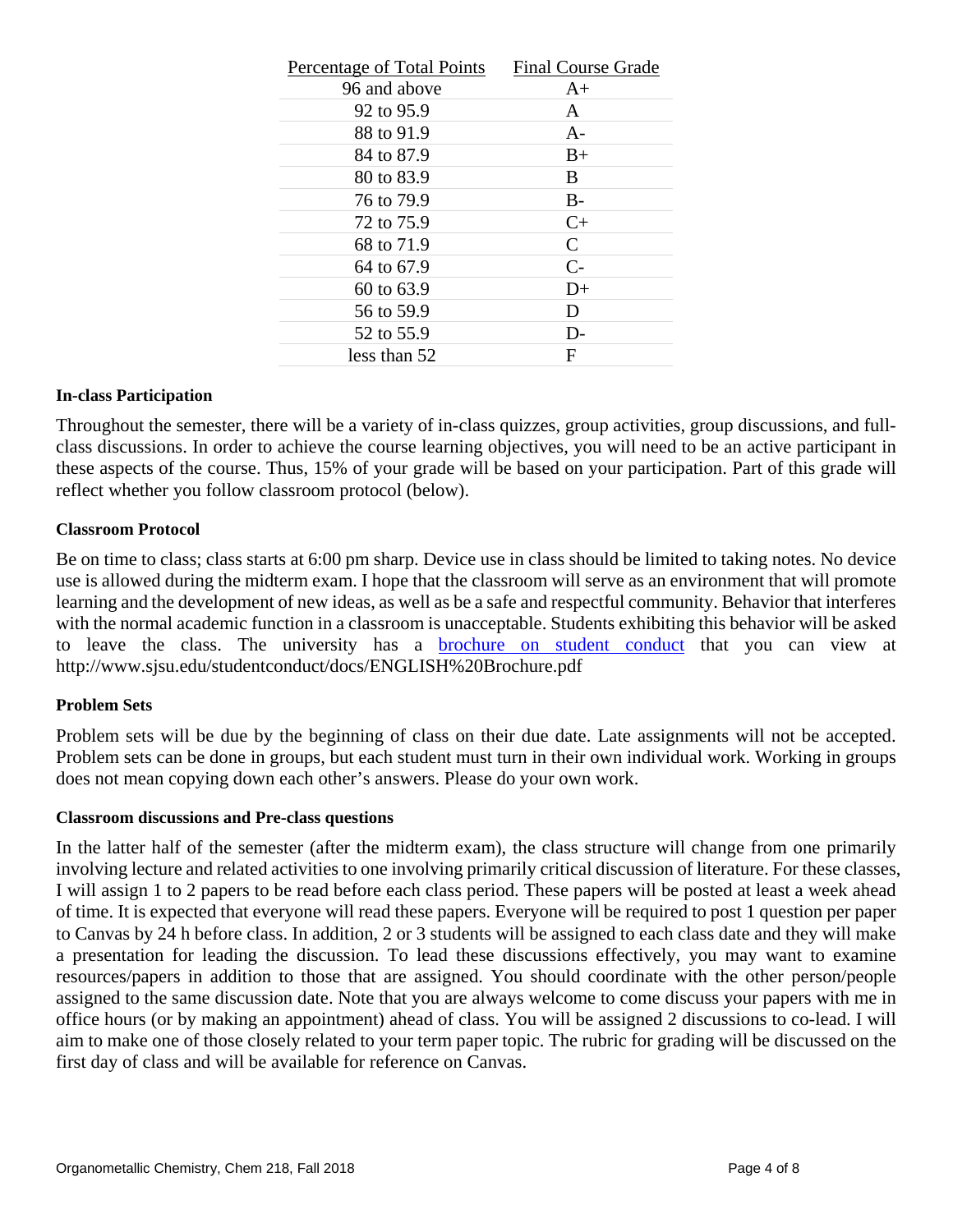| Percentage of Total Points | <b>Final Course Grade</b> |
|----------------------------|---------------------------|
| 96 and above               | $A+$                      |
| 92 to 95.9                 | A                         |
| 88 to 91.9                 | $A -$                     |
| 84 to 87.9                 | $B+$                      |
| 80 to 83.9                 | B                         |
| 76 to 79.9                 | $B-$                      |
| 72 to 75.9                 | $C+$                      |
| 68 to 71.9                 | C                         |
| 64 to 67.9                 | $C-$                      |
| 60 to 63.9                 | $D+$                      |
| 56 to 59.9                 | D                         |
| 52 to 55.9                 | D-                        |
| less than 52               | F                         |

#### **In-class Participation**

Throughout the semester, there will be a variety of in-class quizzes, group activities, group discussions, and fullclass discussions. In order to achieve the course learning objectives, you will need to be an active participant in these aspects of the course. Thus, 15% of your grade will be based on your participation. Part of this grade will reflect whether you follow classroom protocol (below).

#### **Classroom Protocol**

Be on time to class; class starts at 6:00 pm sharp. Device use in class should be limited to taking notes. No device use is allowed during the midterm exam. I hope that the classroom will serve as an environment that will promote learning and the development of new ideas, as well as be a safe and respectful community. Behavior that interferes with the normal academic function in a classroom is unacceptable. Students exhibiting this behavior will be asked to leave the class. The university has a [brochure on student conduct](http://www.sjsu.edu/studentconduct/docs/ENGLISH%20Brochure.pdf) that you can view at http://www.sjsu.edu/studentconduct/docs/ENGLISH%20Brochure.pdf

#### **Problem Sets**

Problem sets will be due by the beginning of class on their due date. Late assignments will not be accepted. Problem sets can be done in groups, but each student must turn in their own individual work. Working in groups does not mean copying down each other's answers. Please do your own work.

#### **Classroom discussions and Pre-class questions**

In the latter half of the semester (after the midterm exam), the class structure will change from one primarily involving lecture and related activities to one involving primarily critical discussion of literature. For these classes, I will assign 1 to 2 papers to be read before each class period. These papers will be posted at least a week ahead of time. It is expected that everyone will read these papers. Everyone will be required to post 1 question per paper to Canvas by 24 h before class. In addition, 2 or 3 students will be assigned to each class date and they will make a presentation for leading the discussion. To lead these discussions effectively, you may want to examine resources/papers in addition to those that are assigned. You should coordinate with the other person/people assigned to the same discussion date. Note that you are always welcome to come discuss your papers with me in office hours (or by making an appointment) ahead of class. You will be assigned 2 discussions to co-lead. I will aim to make one of those closely related to your term paper topic. The rubric for grading will be discussed on the first day of class and will be available for reference on Canvas.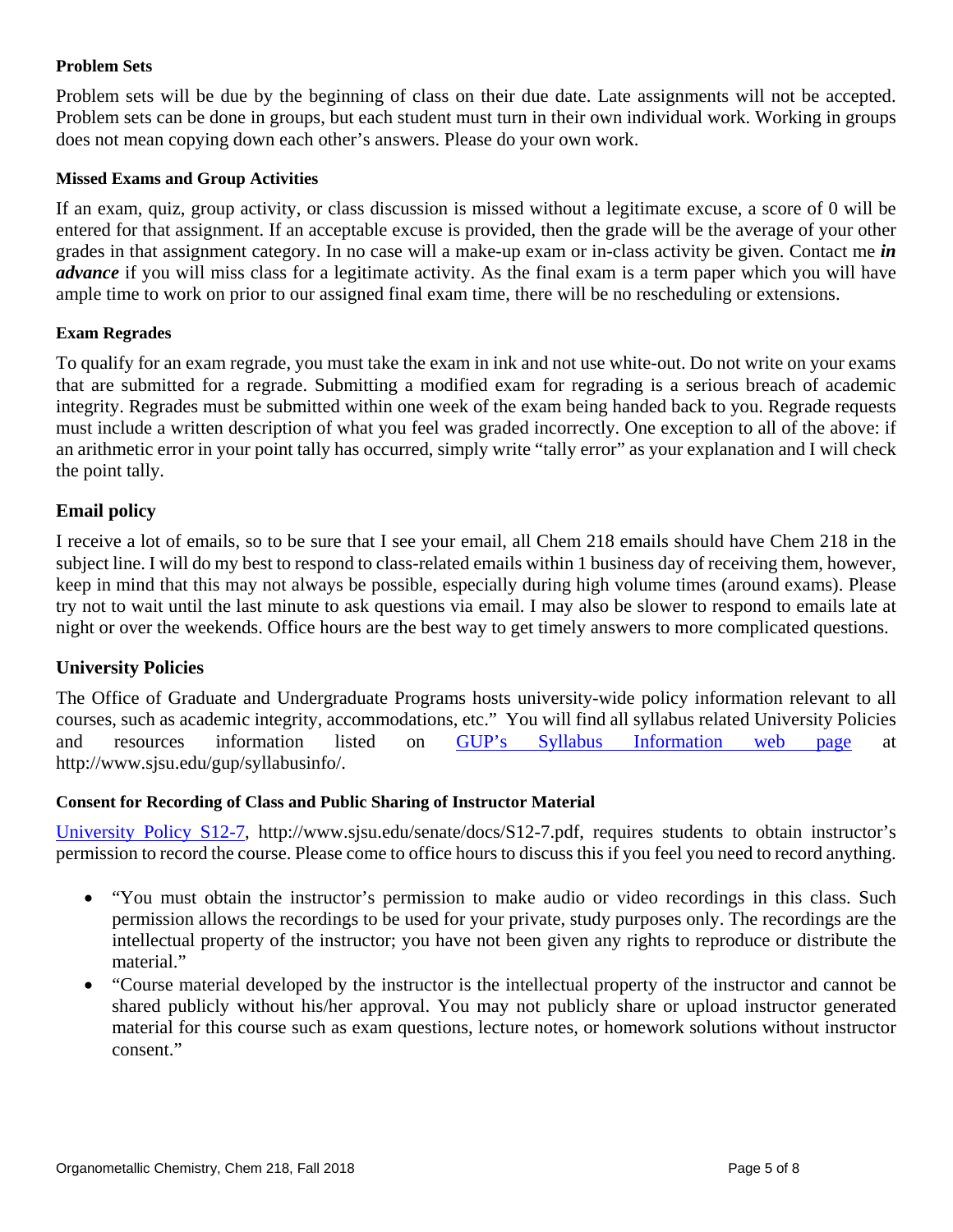## **Problem Sets**

Problem sets will be due by the beginning of class on their due date. Late assignments will not be accepted. Problem sets can be done in groups, but each student must turn in their own individual work. Working in groups does not mean copying down each other's answers. Please do your own work.

## **Missed Exams and Group Activities**

If an exam, quiz, group activity, or class discussion is missed without a legitimate excuse, a score of 0 will be entered for that assignment. If an acceptable excuse is provided, then the grade will be the average of your other grades in that assignment category. In no case will a make-up exam or in-class activity be given. Contact me *in advance* if you will miss class for a legitimate activity. As the final exam is a term paper which you will have ample time to work on prior to our assigned final exam time, there will be no rescheduling or extensions.

## **Exam Regrades**

To qualify for an exam regrade, you must take the exam in ink and not use white-out. Do not write on your exams that are submitted for a regrade. Submitting a modified exam for regrading is a serious breach of academic integrity. Regrades must be submitted within one week of the exam being handed back to you. Regrade requests must include a written description of what you feel was graded incorrectly. One exception to all of the above: if an arithmetic error in your point tally has occurred, simply write "tally error" as your explanation and I will check the point tally.

# **Email policy**

I receive a lot of emails, so to be sure that I see your email, all Chem 218 emails should have Chem 218 in the subject line. I will do my best to respond to class-related emails within 1 business day of receiving them, however, keep in mind that this may not always be possible, especially during high volume times (around exams). Please try not to wait until the last minute to ask questions via email. I may also be slower to respond to emails late at night or over the weekends. Office hours are the best way to get timely answers to more complicated questions.

# **University Policies**

The Office of Graduate and Undergraduate Programs hosts university-wide policy information relevant to all courses, such as academic integrity, accommodations, etc." You will find all syllabus related University Policies and resources information listed on [GUP's Syllabus Information web page](http://www.sjsu.edu/gup/syllabusinfo/) at http://www.sjsu.edu/gup/syllabusinfo/.

## **Consent for Recording of Class and Public Sharing of Instructor Material**

[University Policy S12-7,](http://www.sjsu.edu/senate/docs/S12-7.pdf) http://www.sjsu.edu/senate/docs/S12-7.pdf, requires students to obtain instructor's permission to record the course. Please come to office hours to discuss this if you feel you need to record anything.

- "You must obtain the instructor's permission to make audio or video recordings in this class. Such permission allows the recordings to be used for your private, study purposes only. The recordings are the intellectual property of the instructor; you have not been given any rights to reproduce or distribute the material."
- "Course material developed by the instructor is the intellectual property of the instructor and cannot be shared publicly without his/her approval. You may not publicly share or upload instructor generated material for this course such as exam questions, lecture notes, or homework solutions without instructor consent."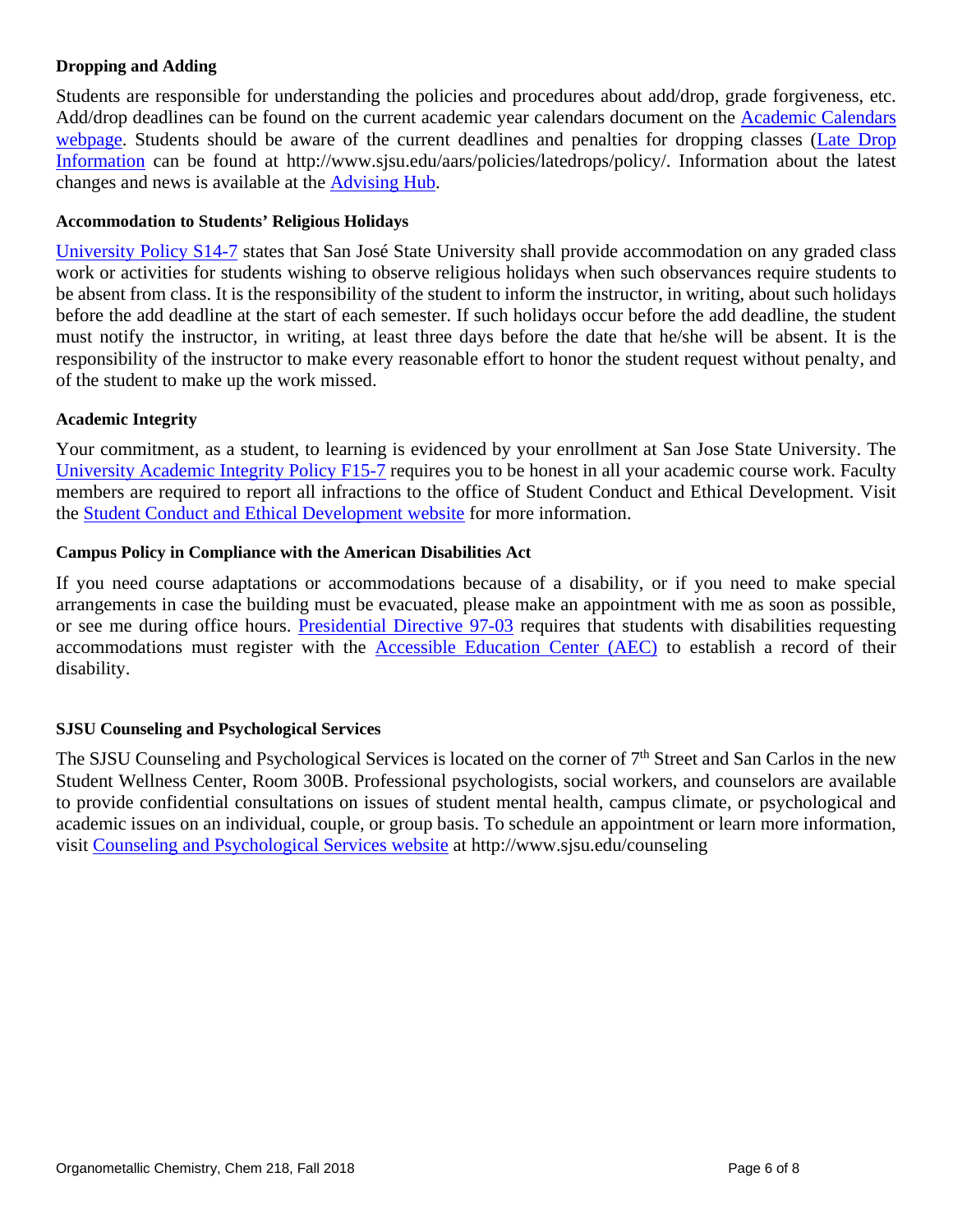## **Dropping and Adding**

Students are responsible for understanding the policies and procedures about add/drop, grade forgiveness, etc. Add/drop deadlines can be found on the current academic year calendars document on the [Academic Calendars](http://www.sjsu.edu/provost/services/academic_calendars/)  [webpage.](http://www.sjsu.edu/provost/services/academic_calendars/) Students should be aware of the current deadlines and penalties for dropping classes [\(Late Drop](http://www.sjsu.edu/aars/policies/latedrops/policy/)  [Information](http://www.sjsu.edu/aars/policies/latedrops/policy/) can be found at http://www.sjsu.edu/aars/policies/latedrops/policy/. Information about the latest changes and news is available at the [Advising Hub.](http://www.sjsu.edu/advising/)

## **Accommodation to Students' Religious Holidays**

[University Policy S14-7](http://www.sjsu.edu/senate/docs/S14-7.pdf) states that San José State University shall provide accommodation on any graded class work or activities for students wishing to observe religious holidays when such observances require students to be absent from class. It is the responsibility of the student to inform the instructor, in writing, about such holidays before the add deadline at the start of each semester. If such holidays occur before the add deadline, the student must notify the instructor, in writing, at least three days before the date that he/she will be absent. It is the responsibility of the instructor to make every reasonable effort to honor the student request without penalty, and of the student to make up the work missed.

## **Academic Integrity**

Your commitment, as a student, to learning is evidenced by your enrollment at San Jose State University. The [University Academic Integrity Policy F15-7](http://www.sjsu.edu/senate/docs/F15-7.pdf) requires you to be honest in all your academic course work. Faculty members are required to report all infractions to the office of Student Conduct and Ethical Development. Visit the [Student Conduct and Ethical Development](http://www.sjsu.edu/studentconduct/) website for more information.

## **Campus Policy in Compliance with the American Disabilities Act**

If you need course adaptations or accommodations because of a disability, or if you need to make special arrangements in case the building must be evacuated, please make an appointment with me as soon as possible, or see me during office hours. [Presidential Directive 97-03](http://www.sjsu.edu/president/docs/directives/PD_1997-03.pdf) requires that students with disabilities requesting accommodations must register with the [Accessible Education Center](http://www.sjsu.edu/aec) (AEC) to establish a record of their disability.

## **SJSU Counseling and Psychological Services**

The SJSU Counseling and Psychological Services is located on the corner of 7<sup>th</sup> Street and San Carlos in the new Student Wellness Center, Room 300B. Professional psychologists, social workers, and counselors are available to provide confidential consultations on issues of student mental health, campus climate, or psychological and academic issues on an individual, couple, or group basis. To schedule an appointment or learn more information, visit [Counseling and Psychological Services website](http://www.sjsu.edu/counseling) at http://www.sjsu.edu/counseling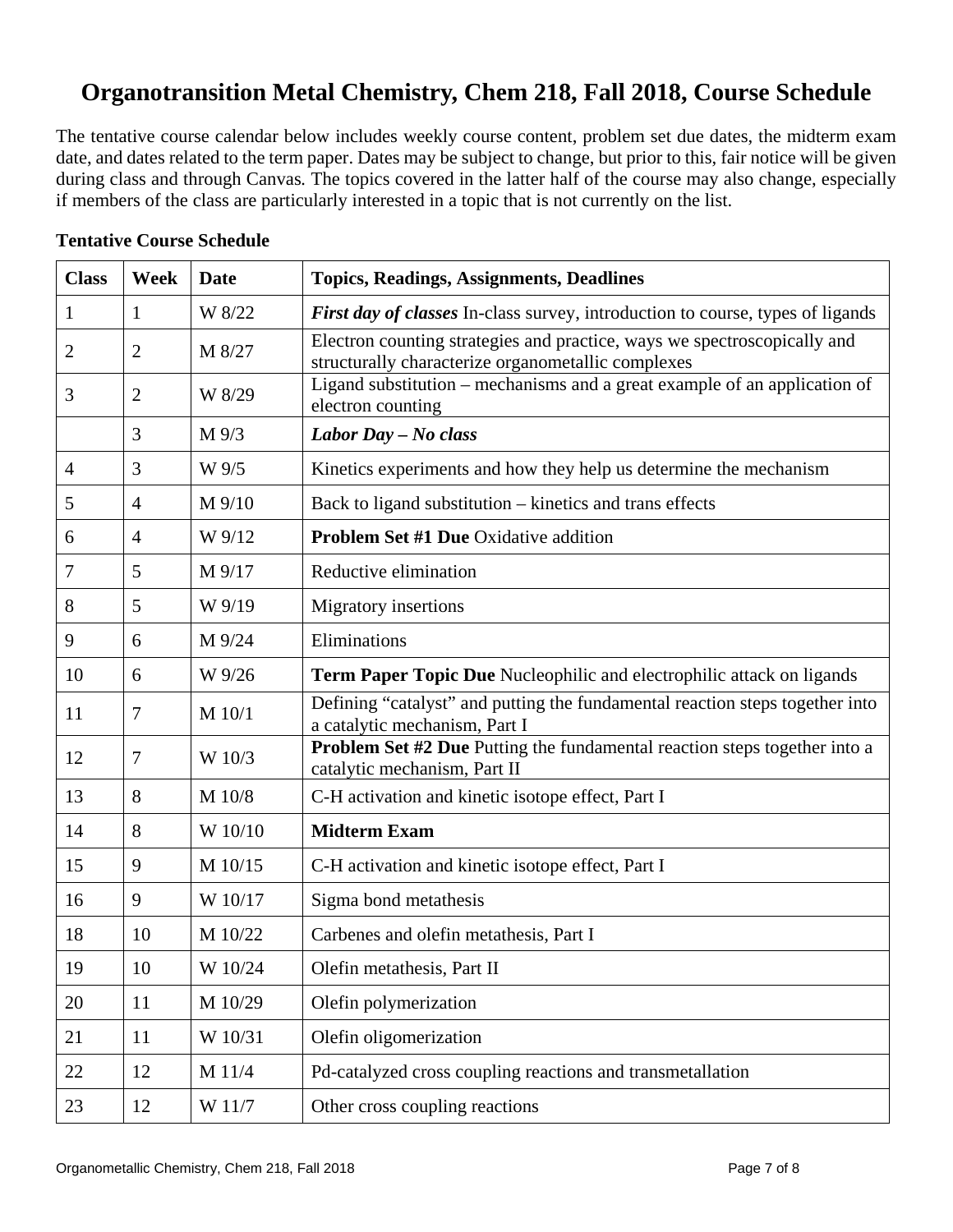# **Organotransition Metal Chemistry, Chem 218, Fall 2018, Course Schedule**

The tentative course calendar below includes weekly course content, problem set due dates, the midterm exam date, and dates related to the term paper. Dates may be subject to change, but prior to this, fair notice will be given during class and through Canvas*.* The topics covered in the latter half of the course may also change, especially if members of the class are particularly interested in a topic that is not currently on the list.

| <b>Class</b>   | Week           | Date           | <b>Topics, Readings, Assignments, Deadlines</b>                                                                                |
|----------------|----------------|----------------|--------------------------------------------------------------------------------------------------------------------------------|
| 1              | 1              | W 8/22         | <b>First day of classes</b> In-class survey, introduction to course, types of ligands                                          |
| $\overline{2}$ | $\overline{2}$ | M 8/27         | Electron counting strategies and practice, ways we spectroscopically and<br>structurally characterize organometallic complexes |
| 3              | $\overline{2}$ | W 8/29         | Ligand substitution – mechanisms and a great example of an application of<br>electron counting                                 |
|                | 3              | $M\frac{9}{3}$ | Labor Day - No class                                                                                                           |
| $\overline{4}$ | 3              | W 9/5          | Kinetics experiments and how they help us determine the mechanism                                                              |
| 5              | $\overline{4}$ | M 9/10         | Back to ligand substitution – kinetics and trans effects                                                                       |
| 6              | $\overline{4}$ | W 9/12         | <b>Problem Set #1 Due Oxidative addition</b>                                                                                   |
| 7              | 5              | M 9/17         | Reductive elimination                                                                                                          |
| 8              | 5              | W 9/19         | <b>Migratory</b> insertions                                                                                                    |
| 9              | 6              | M 9/24         | Eliminations                                                                                                                   |
| 10             | 6              | W 9/26         | <b>Term Paper Topic Due</b> Nucleophilic and electrophilic attack on ligands                                                   |
| 11             | $\overline{7}$ | M 10/1         | Defining "catalyst" and putting the fundamental reaction steps together into<br>a catalytic mechanism, Part I                  |
| 12             | $\tau$         | W 10/3         | <b>Problem Set #2 Due Putting the fundamental reaction steps together into a</b><br>catalytic mechanism, Part II               |
| 13             | 8              | M 10/8         | C-H activation and kinetic isotope effect, Part I                                                                              |
| 14             | 8              | W 10/10        | <b>Midterm Exam</b>                                                                                                            |
| 15             | 9              | M 10/15        | C-H activation and kinetic isotope effect, Part I                                                                              |
| 16             | 9              | W 10/17        | Sigma bond metathesis                                                                                                          |
| 18             | 10             | M 10/22        | Carbenes and olefin metathesis, Part I                                                                                         |
| 19             | 10             | W 10/24        | Olefin metathesis, Part II                                                                                                     |
| 20             | 11             | M 10/29        | Olefin polymerization                                                                                                          |
| 21             | 11             | W 10/31        | Olefin oligomerization                                                                                                         |
| 22             | 12             | M 11/4         | Pd-catalyzed cross coupling reactions and transmetallation                                                                     |
| 23             | 12             | W 11/7         | Other cross coupling reactions                                                                                                 |

# **Tentative Course Schedule**